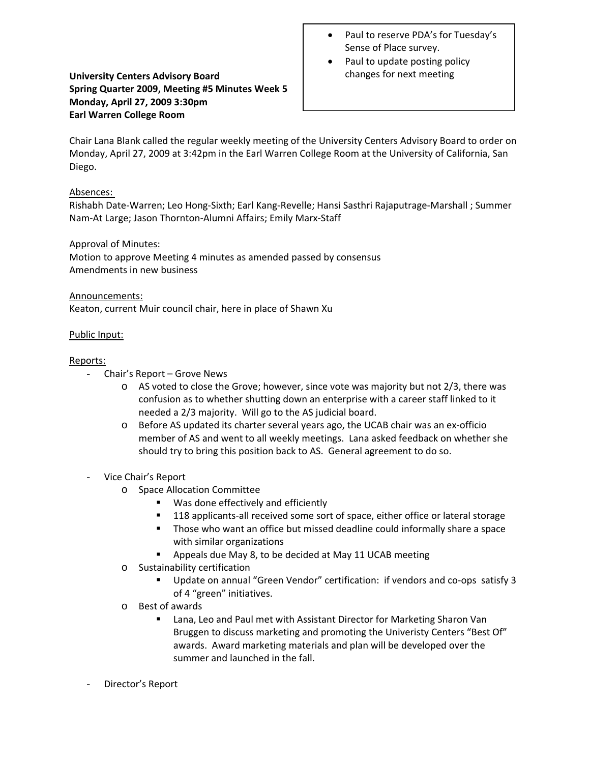# **University Centers Advisory Board Spring Quarter 2009, Meeting #5 Minutes Week 5 Monday, April 27, 2009 3:30pm Earl Warren College Room**

- Paul to reserve PDA's for Tuesday's Sense of Place survey.
- Paul to update posting policy changes for next meeting

Chair Lana Blank called the regular weekly meeting of the University Centers Advisory Board to order on Monday, April 27, 2009 at 3:42pm in the Earl Warren College Room at the University of California, San Diego.

## Absences:

Rishabh Date‐Warren; Leo Hong‐Sixth; Earl Kang‐Revelle; Hansi Sasthri Rajaputrage‐Marshall ; Summer Nam‐At Large; Jason Thornton‐Alumni Affairs; Emily Marx‐Staff

## Approval of Minutes:

Motion to approve Meeting 4 minutes as amended passed by consensus Amendments in new business

#### Announcements:

Keaton, current Muir council chair, here in place of Shawn Xu

## Public Input:

## Reports:

- Chair's Report Grove News
	- o AS voted to close the Grove; however, since vote was majority but not 2/3, there was confusion as to whether shutting down an enterprise with a career staff linked to it needed a 2/3 majority. Will go to the AS judicial board.
	- o Before AS updated its charter several years ago, the UCAB chair was an ex‐officio member of AS and went to all weekly meetings. Lana asked feedback on whether she should try to bring this position back to AS. General agreement to do so.
- Vice Chair's Report
	- o Space Allocation Committee
		- Was done effectively and efficiently
		- 118 applicants-all received some sort of space, either office or lateral storage
		- **Those who want an office but missed deadline could informally share a space** with similar organizations
		- Appeals due May 8, to be decided at May 11 UCAB meeting
	- o Sustainability certification
		- Update on annual "Green Vendor" certification: if vendors and co-ops satisfy 3 of 4 "green" initiatives.
	- o Best of awards
		- Lana, Leo and Paul met with Assistant Director for Marketing Sharon Van Bruggen to discuss marketing and promoting the Univeristy Centers "Best Of" awards. Award marketing materials and plan will be developed over the summer and launched in the fall.
- Director's Report